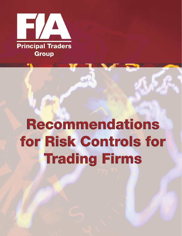

# **Recommendations** for Risk Controls for **Trading Firms**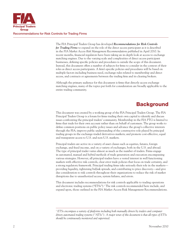

The FIA Principal Traders Group has developed *Recommendations for Risk Controls for Trading Firms* to expand on the role of the direct access participant as it is described in the *FIA Market Access Risk Management Recommendations* published in April 2010. In recent months, financial regulators have been taking an in-depth look at access to exchange matching engines. Due to the varying scale and complexities of direct access participant businesses, defining specific policies and procedures is outside the scope of this document. Instead, this document offers a number of subjects for firms to consider in the context of their roles as direct access participants. A firm's specific policies and procedures will be based on multiple factors including business need, exchange rules related to membership and direct access, and contracts or agreements between the trading firm and its clearing brokers.

Although the primary audience for this document is firms that directly access exchange matching engines, many of the topics put forth for consideration are broadly applicable to the entire trading community.

## **Background**

This document was created by a working group of the FIA Principal Traders Group. The FIA Principal Traders Group is a forum for firms trading their own capital to identify and discuss issues confronting the principal traders' community. Membership in the FIA PTG is limited to firms that trade for their own account rather than on behalf of customers. The group works to define common positions on public policy issues and advance the group's collective interests through the FIA; improve public understanding of the constructive role played by principal trading groups in the exchange-traded derivatives markets; and promote cost-effective, equal and transparent access to U.S. and non-U.S. markets.

Principal traders are active in a variety of asset classes such as equities, futures, foreign exchange, and fixed income, and on a variety of exchanges, both in the U.S. and abroad. The type of principal trader varies almost as much as the number of traders. Firms engage in automated, manual and hybrid methods of trade generation and execution encompassing various strategies. However, all principal traders have a vested interest in well functioning markets with effective risk controls, clear error trade policies that focus on trade certainty, and a strong regulatory framework. Principal trading firms take seriously their role in the markets providing liquidity, tightening bid/ask spreads, and contributing to price discovery—and give due consideration to risk controls throughout their organizations to reduce the risk of market disruptions due to unauthorized access, system failures, and errors.

This document includes recommendations for risk controls applicable to trading operations and electronic trading systems ("ETSs").<sup>1</sup> The risk controls recommended here include, and expand upon, those outlined in the FIA Market Access Risk Management Recommendations.

<sup>&</sup>lt;sup>1</sup> ETSs encompass a variety of platforms including both manually driven by traders and computer *driven automated trading systems ("ATSs"). A major tenet of this document is that all types of ETSs should be continuously monitored and supervised.*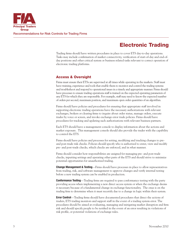

# Electronic Trading

Trading firms should have written procedures in place to cover ETS day-to-day operations. Tasks may include confirmation of market connectivity, verification of start-of-day and end-ofday positions and other critical system or business related tasks relevant to correct operation of electronic trading platforms.

#### Access & Oversight

Firms must ensure their ETSs are supervised at all times while operating in the markets. Staff must have training, experience and tools that enable them to monitor and control the trading systems and troubleshoot and respond to operational issues in a timely and appropriate manner. Firms should have processes to ensure trading operations staff is trained on the expected operating parameters of any ETS for which they are responsible. For example, staff may need to know the expected number of orders per second, maximum position, and maximum open order quantities of an algorithm.

Firms should have policies and procedures for ensuring that appropriate staff involved in supporting electronic trading operations have the necessary authorizations with relevant exchanges, brokers or clearing firms to inquire about order status, manage orders, execute trades by voice or screen, and invoke exchange error trade policies. Firms should have procedures for tracking and updating such authorizations with relevant business partners.

Each ETS should have a management console to display information about the actions and market exposure. This management console should also provide the trader with the capability to control the ETS.

Firms should have policies and processes for setting, modifying and tracking changes to preand post-trade risk checks. Policies should specify who is authorized to enter, view and modify pre- and post-trade checks, which checks are enforced, and in what manner.

Firms should consider how responsibilities are assigned for managing pre- and post-trade checks, inputting settings and operating other parts of the ETS and should strive to minimize potential opportunities for unauthorized trading.

**Change Management & Testing**—Firms should have processes in place to allow representatives from trading, risk, and software management to approve changes and verify internal testing before a new trading system can be enabled in production.

**Conformance Testing**—Trading firms are required to pass conformance testing with the party providing access when implementing a new direct access system or when the exchange deems it necessary because of a fundamental change in exchange functionality. The onus is on the trading firm to determine when it must recertify due to a change in logic within their system.

**Error Control**—Trading firms should have documented procedures that direct the actions of traders, ETS trading monitors and support staff in the event of a trading system error. The procedures should be aimed at evaluating, managing and mitigating market disruption and firm risk and should specify people to be notified in the event of an error resulting in violations of risk profile, or potential violations of exchange rules.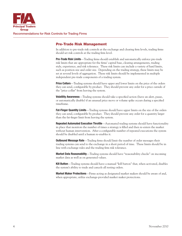

#### Pre-Trade Risk Management

In addition to pre-trade risk controls at the exchange and clearing firm levels, trading firms should set risk controls at the trading firm level.

Pre-Trade Risk Limits—Trading firms should establish and automatically enforce pre-trade risk limits that are appropriate for the firms' capital base, clearing arrangements, trading style, experience, and risk tolerance. These risk limits can include a variety of hard limits, such as position size and order size. Depending on the trading strategy, these limits may be set at several levels of aggregation. These risk limits should be implemented in multiple independent pre-trade components of a trading system.

**Price Collars**—Trading systems should have upper and lower limits on the price of the orders they can send, configurable by product. They should prevent any order for a price outside of the "price collar" from leaving the system.

**Volatility Awareness**—Trading systems should take a specified action (have an alert, pause, or automatically disable) if an unusual price move or volume spike occurs during a specified timeframe.

**Fat-Finger Quantity Limits**—Trading systems should have upper limits on the size of the orders they can send, configurable by product. They should prevent any order for a quantity larger than the fat-finger limit from leaving the system.

**Repeated Automated Execution Throttle**—Automated trading systems should have functionality in place that monitors the number of times a strategy is filled and then re-enters the market without human intervention. After a configurable number of repeated executions the system should be disabled until a human re-enables it.

**Outbound Message Rate**—Trading firms should limit the number of order messages their trading systems can send to the exchange in a short period of time. These limits should be in line with exchange rules and the trading firm risk tolerance.

Market Data Reasonability—Trading systems should have "reasonability checks" on incoming market data as well as on generated values.

Kill Button—Trading systems should have a manual "kill button" that, when activated, disables the system's ability to trade and cancels all resting orders.

Market Maker Protections—Firms acting as designated market makers should be aware of and, when appropriate, utilize exchange-provided market maker protections.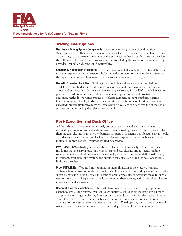

#### Trading Interruptions

Heartbeats Among System Components—Electronic trading systems should monitor "heartbeats" among their various components as well as with the exchange to identify when connectivity to any system component or the exchange has been lost. If connectivity is lost, the ETS should be disabled and working orders cancelled by the system or through exchangeprovided "cancel-on-disconnect" functionality.

**Emergency Notification Procedures—Trading operations staff should have contact details for** incident response personnel responsible for network connectivity, software development, and third-party vendors as well as market operations staff at relevant exchanges.

**Back-Up Execution Facilities**—Trading firms should have alternate execution platforms available to their traders and trading monitors in the event that their primary systems or direct market access fail. Options include exchange, clearing firm or ISV-provided execution platforms. In addition, firms should have documented procedures for alternative trade execution methods (including trading desk phone numbers, account numbers, clearing information as applicable) in the event electronic trading is not feasible. When trades are executed through alternative methods, firms should have logs documenting the execution of such trades and recording the relevant trade details.

#### Post-Execution and Back Office

All firms should strive to maintain timely and accurate trade and account information by reconciling as soon as practicable their own electronic trading logs with records provided by their brokers, clearing firms, or other business partners. In satisfying this objective, firms should consider segregating trading and back office roles and responsibilities in such a way that an individual cannot conceal unauthorized trading activity.

**Post-Trade Limits**—Trading firms can also establish and automatically enforce post-trade risk limits that are appropriate for the firms' capital base, clearing arrangements, trading style, experience, and risk tolerance. For example, a trading firm can set daily loss-limits by instrument, asset class, and strategy and automatically close out or reduce positions if those limits are breached.

Order Fill Validity-Trading firms can monitor order fill messages they receive from the exchange in order to confirm they are valid. Validity can be determined by a number of tradespecific factors including fill price, fill quantity, order ownership, or aggregate measures such as net positions and fill frequencies. Should an order fail these checks, action should be taken to investigate the discrepancy.

Near real-time reconciliation—ETSs should have functionality to accept drop-copies from exchanges and clearing firms. Drop copies are duplicate copies of orders that allow a firm to compare the exchange or clearing firm view of trades and positions with the systems' internal view. This helps to assure that all systems are performing as expected and maintaining accurate and consistent views of trades and positions. The drop-copy data may also be used by risk managers to view their firm's risk exposure independently of the trading system.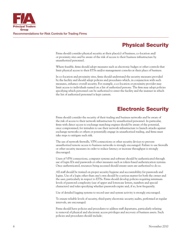

# Physical Security

Firms should consider physical security at their place(s) of business, co-location and/ or proximity sites and be aware of the risk of access to their business infrastructure by unauthorized personnel.

Where feasible, firms should adopt measures such as electronic badges or other controls that limit physical access to their ETSs and/or management consoles at their place of business.

In co-location and proximity sites, firms should understand the security measures provided by the facility and should adopt policies and procedures which, in conjunction with such measures, enhance overall security. For example, a co-location or proximity provider may limit access to individuals named on a list of authorized persons. The firm may adopt policies specifying which personnel can be authorized to enter the facility and the manner in which the list of authorized personnel is kept current.

## Electronic Security

Firms should consider the security of their trading and business networks and be aware of the risk of access to their network infrastructure by unauthorized personnel. In particular, firms with direct access to exchange matching engines should be aware of the potential, once compromised, for intruders to use their network infrastructure to launch attacks against exchange networks or others or potentially engage in unauthorized trading, and firms must take steps to mitigate such risk.

The use of network firewalls, VPN connections or other security devices to prevent unauthorized remote access to business networks is strongly encouraged. Failure to use firewalls or other security measures in order to reduce latency or increase throughput is strongly discouraged.

Users of VPN connections, computer systems and software should be authenticated through use of login IDs and passwords or other measures such as token-based authentication systems. Once authenticated, resources being accessed should ensure users are authorized to do so.

All staff should be trained on proper security hygiene and accountability for passwords and logins. Use of a login other than one's own should be a serious matter for both the owner and the user, particularly in respect to ETSs. Firms should develop policies requiring minimum levels of password complexity (use of upper and lowercase letters, numbers and special characters) and rules specifying whether passwords expire and, if so, how frequently.

Use of detailed logging systems to record user and system activity is strongly encouraged.

To ensure reliable levels of security, third-party electronic security audits, performed at regular intervals, are encouraged.

Firms should have policies and procedures to address staff departures, particularly relating to removal of physical and electronic access privileges and recovery of business assets. Such policies and procedures should include: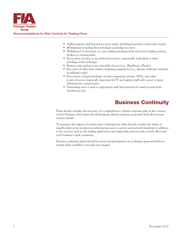

- Addressing key and keycard recovery and/or disabling keycard in card reader system
- • Withdrawal of trading floor privileges and badge recovery
- Withdrawal of electronic or voice trading privileges from electronic trading systems, brokers or clearing firms
- • Revocation of status as an authorized contact, responsible individual or other privileges with exchanges
- Remote wipe and recovery of mobile devices (e.g., Blackberry, iPhone)
- Recovery of other firm-owned computing equipment (e.g., laptops, desktops, wireless/ broadband cards)
- Revocation of login privileges on firm computing systems, VPNs, and other points of access (especially important for IT and support staff with access to many infrastructure components)
- • Forwarding user's e-mail to appropriate staff and removal of e-mail account from distribution lists

# Business Continuity

Firms should consider the necessity of a comprehensive disaster response plan in the context of their business. Such plans should designate disaster response personnel with all necessary contact details.

To minimize the impact of certain types of disruptions, firms should consider the utility of standby failover for production infrastructure such as servers and network hardware in addition to key services such as the trading application and supporting services such as back office and even business e-mail continuity.

Business continuity plans should be tested and participation in exchange-sponsored failover testing when available is strongly encouraged.